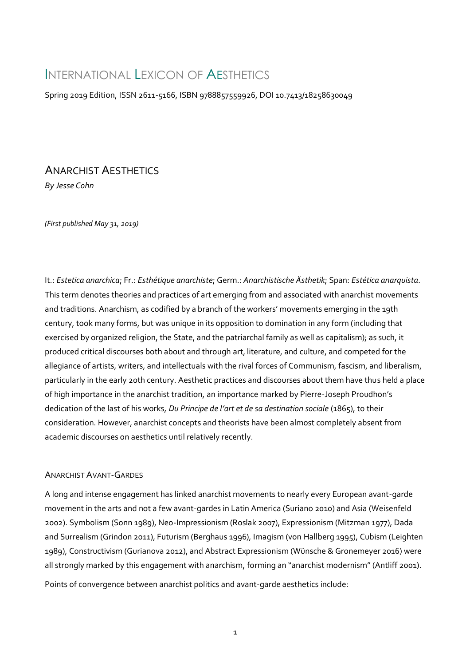# INTERNATIONAL LEXICON OF AESTHETICS

Spring 2019 Edition, ISSN 2611-5166, ISBN 9788857559926, DOI 10.7413/18258630049

## ANARCHIST AESTHETICS

*By Jesse Cohn*

*(First published May 31, 2019)*

It.: *Estetica anarchica*; Fr.: *Esthétique anarchiste*; Germ.: *Anarchistische Ästhetik*; Span: *Estética anarquista*. This term denotes theories and practices of art emerging from and associated with anarchist movements and traditions. Anarchism, as codified by a branch of the workers' movements emerging in the 19th century, took many forms, but was unique in its opposition to domination in any form (including that exercised by organized religion, the State, and the patriarchal family as well as capitalism); as such, it produced critical discourses both about and through art, literature, and culture, and competed for the allegiance of artists, writers, and intellectuals with the rival forces of Communism, fascism, and liberalism, particularly in the early 20th century. Aesthetic practices and discourses about them have thus held a place of high importance in the anarchist tradition, an importance marked by Pierre-Joseph Proudhon's dedication of the last of his works, *Du Principe de l'art et de sa destination sociale* (1865), to their consideration. However, anarchist concepts and theorists have been almost completely absent from academic discourses on aesthetics until relatively recently.

### ANARCHIST AVANT-GARDES

A long and intense engagement has linked anarchist movements to nearly every European avant-garde movement in the arts and not a few avant-gardes in Latin America (Suriano 2010) and Asia (Weisenfeld 2002). Symbolism (Sonn 1989), Neo-Impressionism (Roslak 2007), Expressionism (Mitzman 1977), Dada and Surrealism (Grindon 2011), Futurism (Berghaus 1996), Imagism (von Hallberg 1995), Cubism (Leighten 1989), Constructivism (Gurianova 2012), and Abstract Expressionism (Wünsche & Gronemeyer 2016) were all strongly marked by this engagement with anarchism, forming an "anarchist modernism" (Antliff 2001).

Points of convergence between anarchist politics and avant-garde aesthetics include: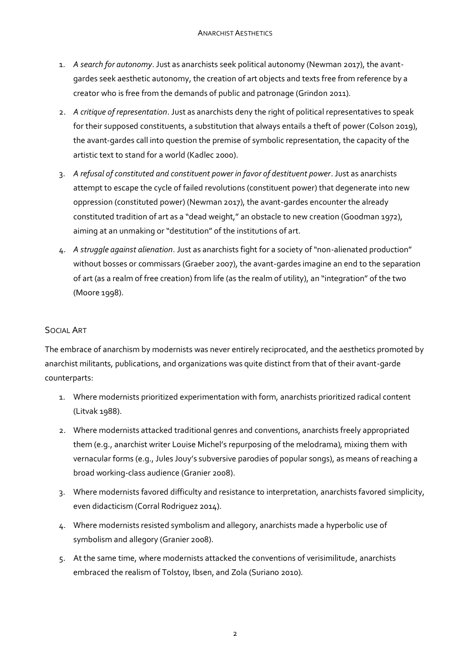- 1. *A search for autonomy*. Just as anarchists seek political autonomy (Newman 2017), the avantgardes seek aesthetic autonomy, the creation of art objects and texts free from reference by a creator who is free from the demands of public and patronage (Grindon 2011).
- 2. *A critique of representation*. Just as anarchists deny the right of political representatives to speak for their supposed constituents, a substitution that always entails a theft of power (Colson 2019), the avant-gardes call into question the premise of symbolic representation, the capacity of the artistic text to stand for a world (Kadlec 2000).
- 3. *A refusal of constituted and constituent power in favor of destituent power*. Just as anarchists attempt to escape the cycle of failed revolutions (constituent power) that degenerate into new oppression (constituted power) (Newman 2017), the avant-gardes encounter the already constituted tradition of art as a "dead weight," an obstacle to new creation (Goodman 1972), aiming at an unmaking or "destitution" of the institutions of art.
- 4. *A struggle against alienation*. Just as anarchists fight for a society of "non-alienated production" without bosses or commissars (Graeber 2007), the avant-gardes imagine an end to the separation of art (as a realm of free creation) from life (as the realm of utility), an "integration" of the two (Moore 1998).

## SOCIAL ART

The embrace of anarchism by modernists was never entirely reciprocated, and the aesthetics promoted by anarchist militants, publications, and organizations was quite distinct from that of their avant-garde counterparts:

- 1. Where modernists prioritized experimentation with form, anarchists prioritized radical content (Litvak 1988).
- 2. Where modernists attacked traditional genres and conventions, anarchists freely appropriated them (e.g., anarchist writer Louise Michel's repurposing of the melodrama), mixing them with vernacular forms (e.g., Jules Jouy's subversive parodies of popular songs), as means of reaching a broad working-class audience (Granier 2008).
- 3. Where modernists favored difficulty and resistance to interpretation, anarchists favored simplicity, even didacticism (Corral Rodriguez 2014).
- 4. Where modernists resisted symbolism and allegory, anarchists made a hyperbolic use of symbolism and allegory (Granier 2008).
- 5. At the same time, where modernists attacked the conventions of verisimilitude, anarchists embraced the realism of Tolstoy, Ibsen, and Zola (Suriano 2010).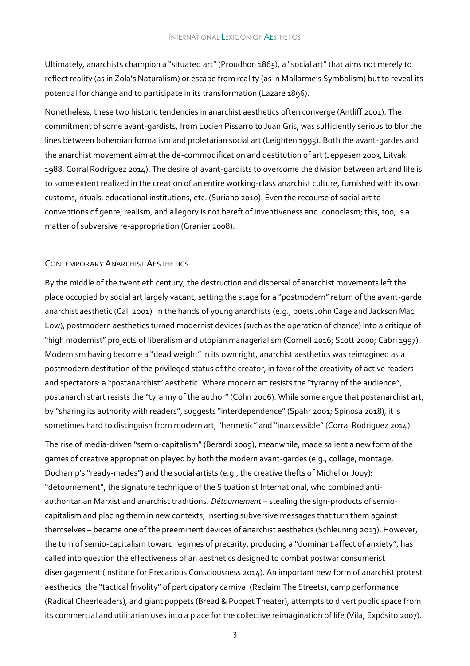Ultimately, anarchists champion a "situated art" (Proudhon 1865), a "social art" that aims not merely to reflect reality (as in Zola's Naturalism) or escape from reality (as in Mallarme's Symbolism) but to reveal its potential for change and to participate in its transformation (Lazare 1896).

Nonetheless, these two historic tendencies in anarchist aesthetics often converge (Antliff 2001). The commitment of some avant-gardists, from Lucien Pissarro to Juan Gris, was sufficiently serious to blur the lines between bohemian formalism and proletarian social art (Leighten 1995). Both the avant-gardes and the anarchist movement aim at the de-commodification and destitution of art (Jeppesen 2003, Litvak 1988, Corral Rodriguez 2014). The desire of avant-gardists to overcome the division between art and life is to some extent realized in the creation of an entire working-class anarchist culture, furnished with its own customs, rituals, educational institutions, etc. (Suriano 2010). Even the recourse of social art to conventions of genre, realism, and allegory is not bereft of inventiveness and iconoclasm; this, too, is a matter of subversive re-appropriation (Granier 2008).

#### CONTEMPORARY ANARCHIST AESTHETICS

By the middle of the twentieth century, the destruction and dispersal of anarchist movements left the place occupied by social art largely vacant, setting the stage for a "postmodern" return of the avant-garde anarchist aesthetic (Call 2001): in the hands of young anarchists (e.g., poets John Cage and Jackson Mac Low), postmodern aesthetics turned modernist devices (such as the operation of chance) into a critique of "high modernist" projects of liberalism and utopian managerialism (Cornell 2016; Scott 2000; Cabri 1997). Modernism having become a "dead weight" in its own right, anarchist aesthetics was reimagined as a postmodern destitution of the privileged status of the creator, in favor of the creativity of active readers and spectators: a "postanarchist" aesthetic. Where modern art resists the "tyranny of the audience", postanarchist art resists the "tyranny of the author" (Cohn 2006). While some argue that postanarchist art, by "sharing its authority with readers", suggests "interdependence" (Spahr 2001; Spinosa 2018), it is sometimes hard to distinguish from modern art, "hermetic" and "inaccessible" (Corral Rodriguez 2014).

The rise of media-driven "semio-capitalism" (Berardi 2009), meanwhile, made salient a new form of the games of creative appropriation played by both the modern avant-gardes (e.g., collage, montage, Duchamp's "ready-mades") and the social artists (e.g., the creative thefts of Michel or Jouy): "détournement", the signature technique of the Situationist International, who combined antiauthoritarian Marxist and anarchist traditions. *Détournement* – stealing the sign-products of semiocapitalism and placing them in new contexts, inserting subversive messages that turn them against themselves – became one of the preeminent devices of anarchist aesthetics (Schleuning 2013). However, the turn of semio-capitalism toward regimes of precarity, producing a "dominant affect of anxiety", has called into question the effectiveness of an aesthetics designed to combat postwar consumerist disengagement (Institute for Precarious Consciousness 2014). An important new form of anarchist protest aesthetics, the "tactical frivolity" of participatory carnival (Reclaim The Streets), camp performance (Radical Cheerleaders), and giant puppets (Bread & Puppet Theater), attempts to divert public space from its commercial and utilitarian uses into a place for the collective reimagination of life (Vila, Expósito 2007).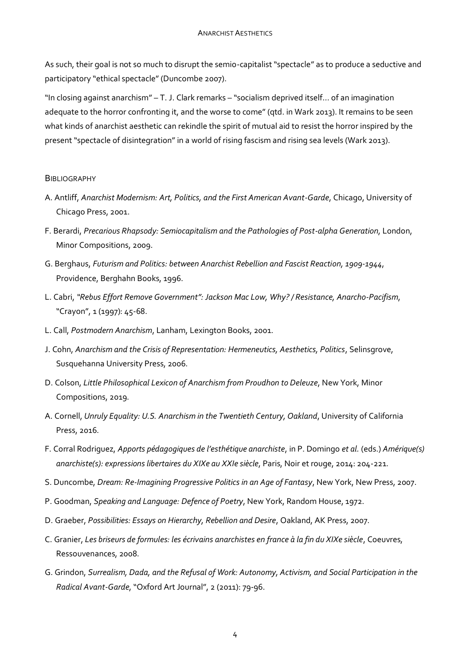As such, their goal is not so much to disrupt the semio-capitalist "spectacle" as to produce a seductive and participatory "ethical spectacle" (Duncombe 2007).

"In closing against anarchism" – T. J. Clark remarks – "socialism deprived itself... of an imagination adequate to the horror confronting it, and the worse to come" (qtd. in Wark 2013). It remains to be seen what kinds of anarchist aesthetic can rekindle the spirit of mutual aid to resist the horror inspired by the present "spectacle of disintegration" in a world of rising fascism and rising sea levels (Wark 2013).

#### **BIBLIOGRAPHY**

- A. Antliff, *Anarchist Modernism: Art, Politics, and the First American Avant-Garde*, Chicago, University of Chicago Press, 2001.
- F. Berardi, *Precarious Rhapsody: Semiocapitalism and the Pathologies of Post-alpha Generation*, London, Minor Compositions, 2009.
- G. Berghaus, *Futurism and Politics: between Anarchist Rebellion and Fascist Reaction, 1909-1944*, Providence, Berghahn Books, 1996.
- L. Cabri, *"Rebus Effort Remove Government": Jackson Mac Low, Why? / Resistance, Anarcho-Pacifism*, "Crayon", 1 (1997): 45-68.
- L. Call, *Postmodern Anarchism*, Lanham, Lexington Books, 2001.
- J. Cohn, *Anarchism and the Crisis of Representation: Hermeneutics, Aesthetics, Politics*, Selinsgrove, Susquehanna University Press, 2006.
- D. Colson, *Little Philosophical Lexicon of Anarchism from Proudhon to Deleuze*, New York, Minor Compositions, 2019.
- A. Cornell, *Unruly Equality: U.S. Anarchism in the Twentieth Century, Oakland*, University of California Press, 2016.
- F. Corral Rodriguez, *Apports pédagogiques de l'esthétique anarchiste*, in P. Domingo *et al.* (eds.) *Amérique(s) anarchiste(s): expressions libertaires du XIXe au XXIe siècle*, Paris, Noir et rouge, 2014: 204-221.
- S. Duncombe, *Dream: Re-Imagining Progressive Politics in an Age of Fantasy*, New York, New Press, 2007.
- P. Goodman, *Speaking and Language: Defence of Poetry*, New York, Random House, 1972.
- D. Graeber, *Possibilities: Essays on Hierarchy, Rebellion and Desire*, Oakland, AK Press, 2007.
- C. Granier, *Les briseurs de formules: les écrivains anarchistes en france à la fin du XIXe siècle*, Coeuvres, Ressouvenances, 2008.
- G. Grindon, *Surrealism, Dada, and the Refusal of Work: Autonomy, Activism, and Social Participation in the Radical Avant-Garde*, "Oxford Art Journal", 2 (2011): 79-96.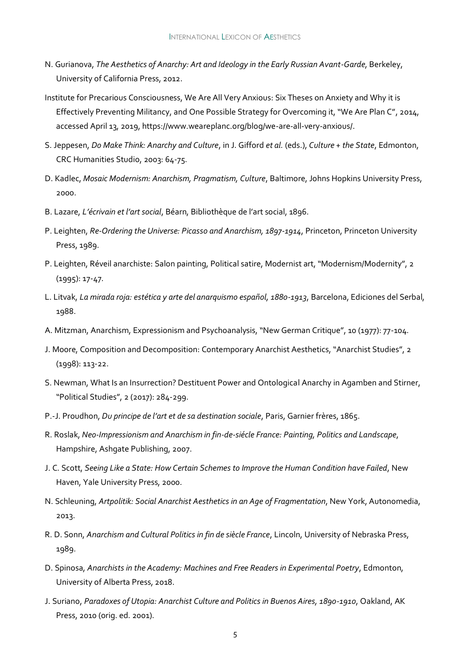- N. Gurianova, *The Aesthetics of Anarchy: Art and Ideology in the Early Russian Avant-Garde*, Berkeley, University of California Press, 2012.
- Institute for Precarious Consciousness, We Are All Very Anxious: Six Theses on Anxiety and Why it is Effectively Preventing Militancy, and One Possible Strategy for Overcoming it, "We Are Plan C", 2014, accessed April 13, 2019, https://www.weareplanc.org/blog/we-are-all-very-anxious/.
- S. Jeppesen, *Do Make Think: Anarchy and Culture*, in J. Gifford *et al.* (eds.), *Culture + the State*, Edmonton, CRC Humanities Studio, 2003: 64‐75.
- D. Kadlec, *Mosaic Modernism: Anarchism, Pragmatism, Culture*, Baltimore, Johns Hopkins University Press, 2000.
- B. Lazare, *L'écrivain et l'art social*, Béarn, Bibliothèque de l'art social, 1896.
- P. Leighten, *Re-Ordering the Universe: Picasso and Anarchism, 1897-1914*, Princeton, Princeton University Press, 1989.
- P. Leighten, Réveil anarchiste: Salon painting, Political satire, Modernist art, "Modernism/Modernity", 2 (1995): 17-47.
- L. Litvak, *La mirada roja: estética y arte del anarquismo español, 1880-1913*, Barcelona, Ediciones del Serbal, 1988.
- A. Mitzman, Anarchism, Expressionism and Psychoanalysis, "New German Critique", 10 (1977): 77-104.
- J. Moore, Composition and Decomposition: Contemporary Anarchist Aesthetics, "Anarchist Studies", 2 (1998): 113-22.
- S. Newman, What Is an Insurrection? Destituent Power and Ontological Anarchy in Agamben and Stirner, "Political Studies", 2 (2017): 284-299.
- P.-J. Proudhon, *Du principe de l'art et de sa destination sociale*, Paris, Garnier frères, 1865.
- R. Roslak, *Neo-Impressionism and Anarchism in fin-de-siécle France: Painting, Politics and Landscape*, Hampshire, Ashgate Publishing, 2007.
- J. C. Scott, *Seeing Like a State: How Certain Schemes to Improve the Human Condition have Failed*, New Haven, Yale University Press, 2000.
- N. Schleuning, *Artpolitik: Social Anarchist Aesthetics in an Age of Fragmentation*, New York, Autonomedia, 2013.
- R. D. Sonn, *Anarchism and Cultural Politics in fin de siècle France*, Lincoln, University of Nebraska Press, 1989.
- D. Spinosa, *Anarchists in the Academy: Machines and Free Readers in Experimental Poetry*, Edmonton, University of Alberta Press, 2018.
- J. Suriano, *Paradoxes of Utopia: Anarchist Culture and Politics in Buenos Aires, 1890-1910*, Oakland, AK Press, 2010 (orig. ed. 2001).